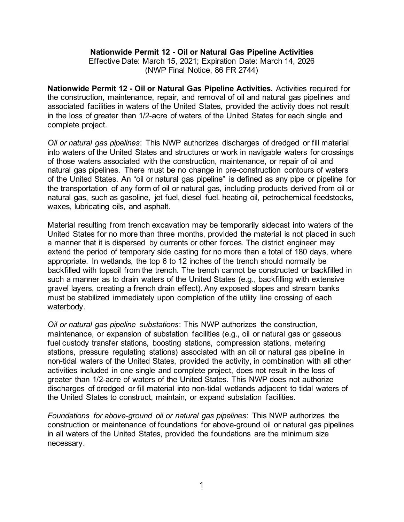#### **Nationwide Permit 12 - Oil or Natural Gas Pipeline Activities**

Effective Date: March 15, 2021; Expiration Date: March 14, 2026 (NWP Final Notice, 86 FR 2744)

**Nationwide Permit 12 - Oil or Natural Gas Pipeline Activities.** Activities required for the construction, maintenance, repair, and removal of oil and natural gas pipelines and associated facilities in waters of the United States, provided the activity does not result in the loss of greater than 1/2-acre of waters of the United States for each single and complete project.

*Oil or natural gas pipelines*: This NWP authorizes discharges of dredged or fill material into waters of the United States and structures or work in navigable waters for crossings of those waters associated with the construction, maintenance, or repair of oil and natural gas pipelines. There must be no change in pre-construction contours of waters of the United States. An "oil or natural gas pipeline" is defined as any pipe or pipeline for the transportation of any form of oil or natural gas, including products derived from oil or natural gas, such as gasoline, jet fuel, diesel fuel. heating oil, petrochemical feedstocks, waxes, lubricating oils, and asphalt.

Material resulting from trench excavation may be temporarily sidecast into waters of the United States for no more than three months, provided the material is not placed in such a manner that it is dispersed by currents or other forces. The district engineer may extend the period of temporary side casting for no more than a total of 180 days, where appropriate. In wetlands, the top 6 to 12 inches of the trench should normally be backfilled with topsoil from the trench. The trench cannot be constructed or backfilled in such a manner as to drain waters of the United States (e.g., backfilling with extensive gravel layers, creating a french drain effect). Any exposed slopes and stream banks must be stabilized immediately upon completion of the utility line crossing of each waterbody.

*Oil or natural gas pipeline substations*: This NWP authorizes the construction, maintenance, or expansion of substation facilities (e.g., oil or natural gas or gaseous fuel custody transfer stations, boosting stations, compression stations, metering stations, pressure regulating stations) associated with an oil or natural gas pipeline in non-tidal waters of the United States, provided the activity, in combination with all other activities included in one single and complete project, does not result in the loss of greater than 1/2-acre of waters of the United States. This NWP does not authorize discharges of dredged or fill material into non-tidal wetlands adjacent to tidal waters of the United States to construct, maintain, or expand substation facilities.

*Foundations for above-ground oil or natural gas pipelines*: This NWP authorizes the construction or maintenance of foundations for above-ground oil or natural gas pipelines in all waters of the United States, provided the foundations are the minimum size necessary.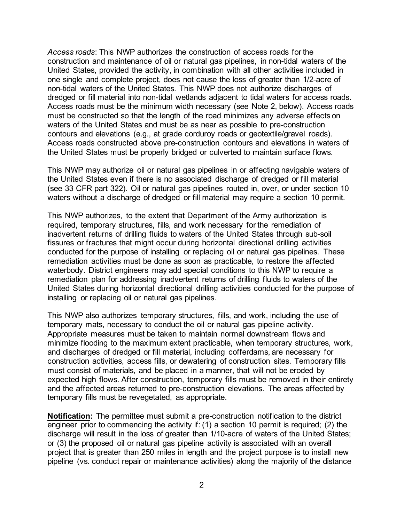*Access roads*: This NWP authorizes the construction of access roads for the construction and maintenance of oil or natural gas pipelines, in non-tidal waters of the United States, provided the activity, in combination with all other activities included in one single and complete project, does not cause the loss of greater than 1/2-acre of non-tidal waters of the United States. This NWP does not authorize discharges of dredged or fill material into non-tidal wetlands adjacent to tidal waters for access roads. Access roads must be the minimum width necessary (see Note 2, below). Access roads must be constructed so that the length of the road minimizes any adverse effects on waters of the United States and must be as near as possible to pre-construction contours and elevations (e.g., at grade corduroy roads or geotextile/gravel roads). Access roads constructed above pre-construction contours and elevations in waters of the United States must be properly bridged or culverted to maintain surface flows.

This NWP may authorize oil or natural gas pipelines in or affecting navigable waters of the United States even if there is no associated discharge of dredged or fill material (see 33 CFR part 322). Oil or natural gas pipelines routed in, over, or under section 10 waters without a discharge of dredged or fill material may require a section 10 permit.

This NWP authorizes, to the extent that Department of the Army authorization is required, temporary structures, fills, and work necessary for the remediation of inadvertent returns of drilling fluids to waters of the United States through sub-soil fissures or fractures that might occur during horizontal directional drilling activities conducted for the purpose of installing or replacing oil or natural gas pipelines. These remediation activities must be done as soon as practicable, to restore the affected waterbody. District engineers may add special conditions to this NWP to require a remediation plan for addressing inadvertent returns of drilling fluids to waters of the United States during horizontal directional drilling activities conducted for the purpose of installing or replacing oil or natural gas pipelines.

This NWP also authorizes temporary structures, fills, and work, including the use of temporary mats, necessary to conduct the oil or natural gas pipeline activity. Appropriate measures must be taken to maintain normal downstream flows and minimize flooding to the maximum extent practicable, when temporary structures, work, and discharges of dredged or fill material, including cofferdams, are necessary for construction activities, access fills, or dewatering of construction sites. Temporary fills must consist of materials, and be placed in a manner, that will not be eroded by expected high flows. After construction, temporary fills must be removed in their entirety and the affected areas returned to pre-construction elevations. The areas affected by temporary fills must be revegetated, as appropriate.

**Notification:** The permittee must submit a pre-construction notification to the district engineer prior to commencing the activity if: (1) a section 10 permit is required; (2) the discharge will result in the loss of greater than 1/10-acre of waters of the United States; or (3) the proposed oil or natural gas pipeline activity is associated with an overall project that is greater than 250 miles in length and the project purpose is to install new pipeline (vs. conduct repair or maintenance activities) along the majority of the distance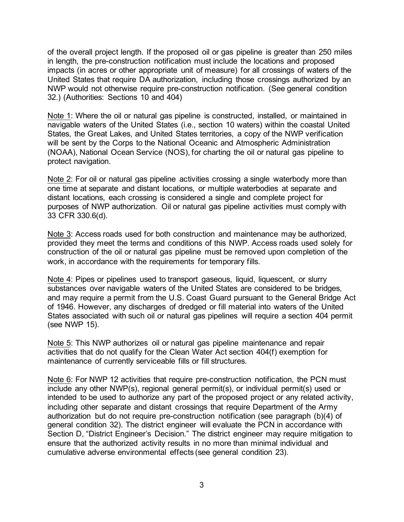of the overall project length. If the proposed oil or gas pipeline is greater than 250 miles in length, the pre-construction notification must include the locations and proposed impacts (in acres or other appropriate unit of measure) for all crossings of waters of the United States that require DA authorization, including those crossings authorized by an NWP would not otherwise require pre-construction notification. (See general condition 32.) (Authorities: Sections 10 and 404)

Note 1: Where the oil or natural gas pipeline is constructed, installed, or maintained in navigable waters of the United States (i.e., section 10 waters) within the coastal United States, the Great Lakes, and United States territories, a copy of the NWP verification will be sent by the Corps to the National Oceanic and Atmospheric Administration (NOAA), National Ocean Service (NOS), for charting the oil or natural gas pipeline to protect navigation.

Note 2: For oil or natural gas pipeline activities crossing a single waterbody more than one time at separate and distant locations, or multiple waterbodies at separate and distant locations, each crossing is considered a single and complete project for purposes of NWP authorization. Oil or natural gas pipeline activities must comply with 33 CFR 330.6(d).

Note 3: Access roads used for both construction and maintenance may be authorized, provided they meet the terms and conditions of this NWP. Access roads used solely for construction of the oil or natural gas pipeline must be removed upon completion of the work, in accordance with the requirements for temporary fills.

Note 4: Pipes or pipelines used to transport gaseous, liquid, liquescent, or slurry substances over navigable waters of the United States are considered to be bridges, and may require a permit from the U.S. Coast Guard pursuant to the General Bridge Act of 1946. However, any discharges of dredged or fill material into waters of the United States associated with such oil or natural gas pipelines will require a section 404 permit (see NWP 15).

Note 5: This NWP authorizes oil or natural gas pipeline maintenance and repair activities that do not qualify for the Clean Water Act section 404(f) exemption for maintenance of currently serviceable fills or fill structures.

Note 6: For NWP 12 activities that require pre-construction notification, the PCN must include any other NWP(s), regional general permit(s), or individual permit(s) used or intended to be used to authorize any part of the proposed project or any related activity, including other separate and distant crossings that require Department of the Army authorization but do not require pre-construction notification (see paragraph (b)(4) of general condition 32). The district engineer will evaluate the PCN in accordance with Section D, "District Engineer's Decision." The district engineer may require mitigation to ensure that the authorized activity results in no more than minimal individual and cumulative adverse environmental effects (see general condition 23).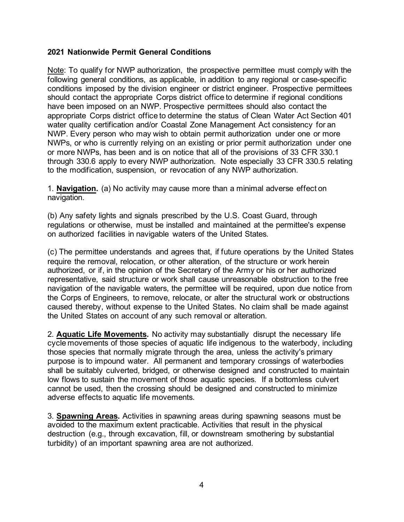## **2021 Nationwide Permit General Conditions**

Note: To qualify for NWP authorization, the prospective permittee must comply with the following general conditions, as applicable, in addition to any regional or case-specific conditions imposed by the division engineer or district engineer. Prospective permittees should contact the appropriate Corps district office to determine if regional conditions have been imposed on an NWP. Prospective permittees should also contact the appropriate Corps district office to determine the status of Clean Water Act Section 401 water quality certification and/or Coastal Zone Management Act consistency for an NWP. Every person who may wish to obtain permit authorization under one or more NWPs, or who is currently relying on an existing or prior permit authorization under one or more NWPs, has been and is on notice that all of the provisions of 33 CFR 330.1 through 330.6 apply to every NWP authorization. Note especially 33 CFR 330.5 relating to the modification, suspension, or revocation of any NWP authorization.

1. **Navigation.** (a) No activity may cause more than a minimal adverse effect on navigation.

(b) Any safety lights and signals prescribed by the U.S. Coast Guard, through regulations or otherwise, must be installed and maintained at the permittee's expense on authorized facilities in navigable waters of the United States.

(c) The permittee understands and agrees that, if future operations by the United States require the removal, relocation, or other alteration, of the structure or work herein authorized, or if, in the opinion of the Secretary of the Army or his or her authorized representative, said structure or work shall cause unreasonable obstruction to the free navigation of the navigable waters, the permittee will be required, upon due notice from the Corps of Engineers, to remove, relocate, or alter the structural work or obstructions caused thereby, without expense to the United States. No claim shall be made against the United States on account of any such removal or alteration.

2. **Aquatic Life Movements.** No activity may substantially disrupt the necessary life cycle movements of those species of aquatic life indigenous to the waterbody, including those species that normally migrate through the area, unless the activity's primary purpose is to impound water. All permanent and temporary crossings of waterbodies shall be suitably culverted, bridged, or otherwise designed and constructed to maintain low flows to sustain the movement of those aquatic species. If a bottomless culvert cannot be used, then the crossing should be designed and constructed to minimize adverse effects to aquatic life movements.

3. **Spawning Areas.** Activities in spawning areas during spawning seasons must be avoided to the maximum extent practicable. Activities that result in the physical destruction (e.g., through excavation, fill, or downstream smothering by substantial turbidity) of an important spawning area are not authorized.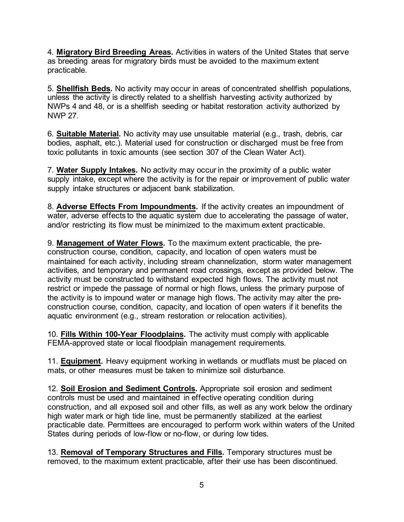4. **Migratory Bird Breeding Areas.** Activities in waters of the United States that serve as breeding areas for migratory birds must be avoided to the maximum extent practicable.

5. **Shellfish Beds.** No activity may occur in areas of concentrated shellfish populations, unless the activity is directly related to a shellfish harvesting activity authorized by NWPs 4 and 48, or is a shellfish seeding or habitat restoration activity authorized by NWP 27.

6. **Suitable Material.** No activity may use unsuitable material (e.g., trash, debris, car bodies, asphalt, etc.). Material used for construction or discharged must be free from toxic pollutants in toxic amounts (see section 307 of the Clean Water Act).

7. **Water Supply Intakes.** No activity may occur in the proximity of a public water supply intake, except where the activity is for the repair or improvement of public water supply intake structures or adjacent bank stabilization.

8. **Adverse Effects From Impoundments.** If the activity creates an impoundment of water, adverse effects to the aquatic system due to accelerating the passage of water, and/or restricting its flow must be minimized to the maximum extent practicable.

9. **Management of Water Flows.** To the maximum extent practicable, the preconstruction course, condition, capacity, and location of open waters must be maintained for each activity, including stream channelization, storm water management activities, and temporary and permanent road crossings, except as provided below. The activity must be constructed to withstand expected high flows. The activity must not restrict or impede the passage of normal or high flows, unless the primary purpose of the activity is to impound water or manage high flows. The activity may alter the preconstruction course, condition, capacity, and location of open waters if it benefits the aquatic environment (e.g., stream restoration or relocation activities).

10. **Fills Within 100-Year Floodplains.** The activity must comply with applicable FEMA-approved state or local floodplain management requirements.

11. **Equipment.** Heavy equipment working in wetlands or mudflats must be placed on mats, or other measures must be taken to minimize soil disturbance.

12. **Soil Erosion and Sediment Controls.** Appropriate soil erosion and sediment controls must be used and maintained in effective operating condition during construction, and all exposed soil and other fills, as well as any work below the ordinary high water mark or high tide line, must be permanently stabilized at the earliest practicable date. Permittees are encouraged to perform work within waters of the United States during periods of low-flow or no-flow, or during low tides.

13. **Removal of Temporary Structures and Fills.** Temporary structures must be removed, to the maximum extent practicable, after their use has been discontinued.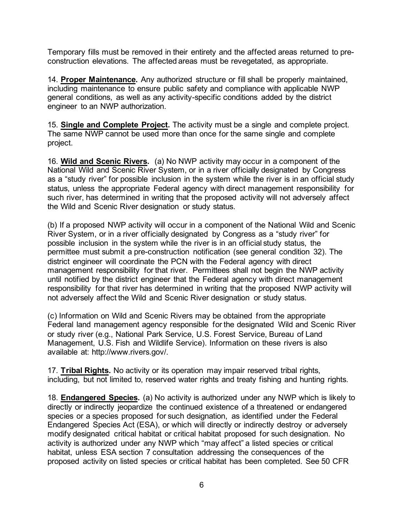Temporary fills must be removed in their entirety and the affected areas returned to preconstruction elevations. The affected areas must be revegetated, as appropriate.

14. **Proper Maintenance.** Any authorized structure or fill shall be properly maintained, including maintenance to ensure public safety and compliance with applicable NWP general conditions, as well as any activity-specific conditions added by the district engineer to an NWP authorization.

15. **Single and Complete Project.** The activity must be a single and complete project. The same NWP cannot be used more than once for the same single and complete project.

16. **Wild and Scenic Rivers.** (a) No NWP activity may occur in a component of the National Wild and Scenic River System, or in a river officially designated by Congress as a "study river" for possible inclusion in the system while the river is in an official study status, unless the appropriate Federal agency with direct management responsibility for such river, has determined in writing that the proposed activity will not adversely affect the Wild and Scenic River designation or study status.

(b) If a proposed NWP activity will occur in a component of the National Wild and Scenic River System, or in a river officially designated by Congress as a "study river" for possible inclusion in the system while the river is in an official study status, the permittee must submit a pre-construction notification (see general condition 32). The district engineer will coordinate the PCN with the Federal agency with direct management responsibility for that river. Permittees shall not begin the NWP activity until notified by the district engineer that the Federal agency with direct management responsibility for that river has determined in writing that the proposed NWP activity will not adversely affect the Wild and Scenic River designation or study status.

(c) Information on Wild and Scenic Rivers may be obtained from the appropriate Federal land management agency responsible for the designated Wild and Scenic River or study river (e.g., National Park Service, U.S. Forest Service, Bureau of Land Management, U.S. Fish and Wildlife Service). Information on these rivers is also available at: http://www.rivers.gov/.

17. **Tribal Rights.** No activity or its operation may impair reserved tribal rights, including, but not limited to, reserved water rights and treaty fishing and hunting rights.

18. **Endangered Species.** (a) No activity is authorized under any NWP which is likely to directly or indirectly jeopardize the continued existence of a threatened or endangered species or a species proposed for such designation, as identified under the Federal Endangered Species Act (ESA), or which will directly or indirectly destroy or adversely modify designated critical habitat or critical habitat proposed for such designation. No activity is authorized under any NWP which "may affect" a listed species or critical habitat, unless ESA section 7 consultation addressing the consequences of the proposed activity on listed species or critical habitat has been completed. See 50 CFR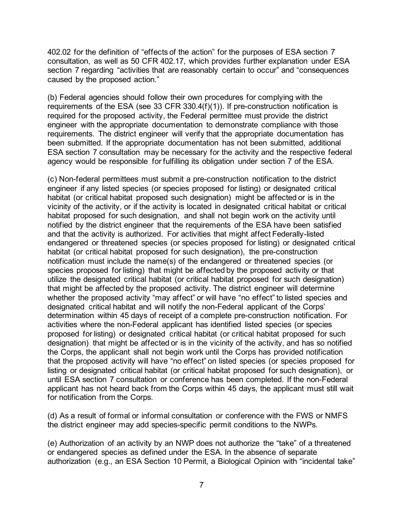402.02 for the definition of "effects of the action" for the purposes of ESA section 7 consultation, as well as 50 CFR 402.17, which provides further explanation under ESA section 7 regarding "activities that are reasonably certain to occur" and "consequences caused by the proposed action."

(b) Federal agencies should follow their own procedures for complying with the requirements of the ESA (see 33 CFR 330.4(f)(1)). If pre-construction notification is required for the proposed activity, the Federal permittee must provide the district engineer with the appropriate documentation to demonstrate compliance with those requirements. The district engineer will verify that the appropriate documentation has been submitted. If the appropriate documentation has not been submitted, additional ESA section 7 consultation may be necessary for the activity and the respective federal agency would be responsible for fulfilling its obligation under section 7 of the ESA.

(c) Non-federal permittees must submit a pre-construction notification to the district engineer if any listed species (or species proposed for listing) or designated critical habitat (or critical habitat proposed such designation) might be affected or is in the vicinity of the activity, or if the activity is located in designated critical habitat or critical habitat proposed for such designation, and shall not begin work on the activity until notified by the district engineer that the requirements of the ESA have been satisfied and that the activity is authorized. For activities that might affect Federally-listed endangered or threatened species (or species proposed for listing) or designated critical habitat (or critical habitat proposed for such designation), the pre-construction notification must include the name(s) of the endangered or threatened species (or species proposed for listing) that might be affected by the proposed activity or that utilize the designated critical habitat (or critical habitat proposed for such designation) that might be affected by the proposed activity. The district engineer will determine whether the proposed activity "may affect" or will have "no effect" to listed species and designated critical habitat and will notify the non-Federal applicant of the Corps' determination within 45 days of receipt of a complete pre-construction notification. For activities where the non-Federal applicant has identified listed species (or species proposed for listing) or designated critical habitat (or critical habitat proposed for such designation) that might be affected or is in the vicinity of the activity, and has so notified the Corps, the applicant shall not begin work until the Corps has provided notification that the proposed activity will have "no effect" on listed species (or species proposed for listing or designated critical habitat (or critical habitat proposed for such designation), or until ESA section 7 consultation or conference has been completed. If the non-Federal applicant has not heard back from the Corps within 45 days, the applicant must still wait for notification from the Corps.

(d) As a result of formal or informal consultation or conference with the FWS or NMFS the district engineer may add species-specific permit conditions to the NWPs.

(e) Authorization of an activity by an NWP does not authorize the "take" of a threatened or endangered species as defined under the ESA. In the absence of separate authorization (e.g., an ESA Section 10 Permit, a Biological Opinion with "incidental take"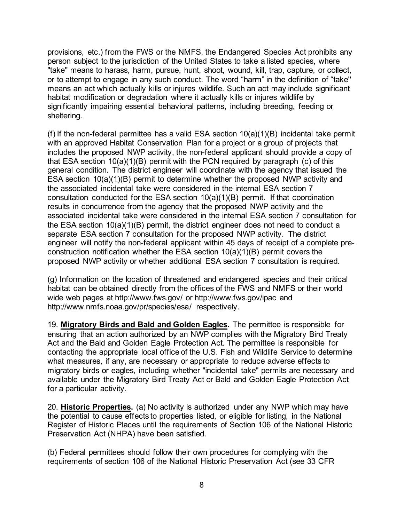provisions, etc.) from the FWS or the NMFS, the Endangered Species Act prohibits any person subject to the jurisdiction of the United States to take a listed species, where "take" means to harass, harm, pursue, hunt, shoot, wound, kill, trap, capture, or collect, or to attempt to engage in any such conduct. The word "harm" in the definition of "take'' means an act which actually kills or injures wildlife. Such an act may include significant habitat modification or degradation where it actually kills or injures wildlife by significantly impairing essential behavioral patterns, including breeding, feeding or sheltering.

(f) If the non-federal permittee has a valid ESA section 10(a)(1)(B) incidental take permit with an approved Habitat Conservation Plan for a project or a group of projects that includes the proposed NWP activity, the non-federal applicant should provide a copy of that ESA section 10(a)(1)(B) permit with the PCN required by paragraph (c) of this general condition. The district engineer will coordinate with the agency that issued the ESA section 10(a)(1)(B) permit to determine whether the proposed NWP activity and the associated incidental take were considered in the internal ESA section 7 consultation conducted for the ESA section 10(a)(1)(B) permit. If that coordination results in concurrence from the agency that the proposed NWP activity and the associated incidental take were considered in the internal ESA section 7 consultation for the ESA section 10(a)(1)(B) permit, the district engineer does not need to conduct a separate ESA section 7 consultation for the proposed NWP activity. The district engineer will notify the non-federal applicant within 45 days of receipt of a complete preconstruction notification whether the ESA section 10(a)(1)(B) permit covers the proposed NWP activity or whether additional ESA section 7 consultation is required.

(g) Information on the location of threatened and endangered species and their critical habitat can be obtained directly from the offices of the FWS and NMFS or their world wide web pages at http://www.fws.gov/ or http://www.fws.gov/ipac and http://www.nmfs.noaa.gov/pr/species/esa/ respectively.

19. **Migratory Birds and Bald and Golden Eagles.** The permittee is responsible for ensuring that an action authorized by an NWP complies with the Migratory Bird Treaty Act and the Bald and Golden Eagle Protection Act. The permittee is responsible for contacting the appropriate local office of the U.S. Fish and Wildlife Service to determine what measures, if any, are necessary or appropriate to reduce adverse effects to migratory birds or eagles, including whether "incidental take" permits are necessary and available under the Migratory Bird Treaty Act or Bald and Golden Eagle Protection Act for a particular activity.

20. **Historic Properties.** (a) No activity is authorized under any NWP which may have the potential to cause effects to properties listed, or eligible for listing, in the National Register of Historic Places until the requirements of Section 106 of the National Historic Preservation Act (NHPA) have been satisfied.

(b) Federal permittees should follow their own procedures for complying with the requirements of section 106 of the National Historic Preservation Act (see 33 CFR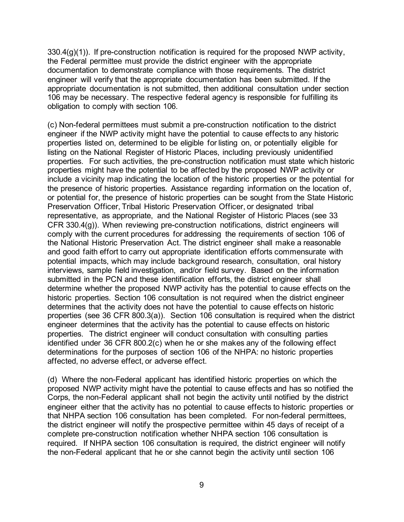330.4(g)(1)). If pre-construction notification is required for the proposed NWP activity, the Federal permittee must provide the district engineer with the appropriate documentation to demonstrate compliance with those requirements. The district engineer will verify that the appropriate documentation has been submitted. If the appropriate documentation is not submitted, then additional consultation under section 106 may be necessary. The respective federal agency is responsible for fulfilling its obligation to comply with section 106.

(c) Non-federal permittees must submit a pre-construction notification to the district engineer if the NWP activity might have the potential to cause effects to any historic properties listed on, determined to be eligible for listing on, or potentially eligible for listing on the National Register of Historic Places, including previously unidentified properties. For such activities, the pre-construction notification must state which historic properties might have the potential to be affected by the proposed NWP activity or include a vicinity map indicating the location of the historic properties or the potential for the presence of historic properties. Assistance regarding information on the location of, or potential for, the presence of historic properties can be sought from the State Historic Preservation Officer, Tribal Historic Preservation Officer, or designated tribal representative, as appropriate, and the National Register of Historic Places (see 33 CFR 330.4(g)). When reviewing pre-construction notifications, district engineers will comply with the current procedures for addressing the requirements of section 106 of the National Historic Preservation Act. The district engineer shall make a reasonable and good faith effort to carry out appropriate identification efforts commensurate with potential impacts, which may include background research, consultation, oral history interviews, sample field investigation, and/or field survey. Based on the information submitted in the PCN and these identification efforts, the district engineer shall determine whether the proposed NWP activity has the potential to cause effects on the historic properties. Section 106 consultation is not required when the district engineer determines that the activity does not have the potential to cause effects on historic properties (see 36 CFR 800.3(a)). Section 106 consultation is required when the district engineer determines that the activity has the potential to cause effects on historic properties. The district engineer will conduct consultation with consulting parties identified under 36 CFR 800.2(c) when he or she makes any of the following effect determinations for the purposes of section 106 of the NHPA: no historic properties affected, no adverse effect, or adverse effect.

(d) Where the non-Federal applicant has identified historic properties on which the proposed NWP activity might have the potential to cause effects and has so notified the Corps, the non-Federal applicant shall not begin the activity until notified by the district engineer either that the activity has no potential to cause effects to historic properties or that NHPA section 106 consultation has been completed. For non-federal permittees, the district engineer will notify the prospective permittee within 45 days of receipt of a complete pre-construction notification whether NHPA section 106 consultation is required. If NHPA section 106 consultation is required, the district engineer will notify the non-Federal applicant that he or she cannot begin the activity until section 106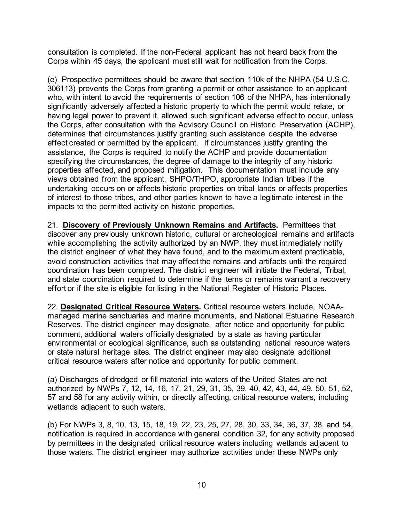consultation is completed. If the non-Federal applicant has not heard back from the Corps within 45 days, the applicant must still wait for notification from the Corps.

(e) Prospective permittees should be aware that section 110k of the NHPA (54 U.S.C. 306113) prevents the Corps from granting a permit or other assistance to an applicant who, with intent to avoid the requirements of section 106 of the NHPA, has intentionally significantly adversely affected a historic property to which the permit would relate, or having legal power to prevent it, allowed such significant adverse effect to occur, unless the Corps, after consultation with the Advisory Council on Historic Preservation (ACHP), determines that circumstances justify granting such assistance despite the adverse effect created or permitted by the applicant. If circumstances justify granting the assistance, the Corps is required to notify the ACHP and provide documentation specifying the circumstances, the degree of damage to the integrity of any historic properties affected, and proposed mitigation. This documentation must include any views obtained from the applicant, SHPO/THPO, appropriate Indian tribes if the undertaking occurs on or affects historic properties on tribal lands or affects properties of interest to those tribes, and other parties known to have a legitimate interest in the impacts to the permitted activity on historic properties.

21. **Discovery of Previously Unknown Remains and Artifacts.** Permittees that discover any previously unknown historic, cultural or archeological remains and artifacts while accomplishing the activity authorized by an NWP, they must immediately notify the district engineer of what they have found, and to the maximum extent practicable, avoid construction activities that may affect the remains and artifacts until the required coordination has been completed. The district engineer will initiate the Federal, Tribal, and state coordination required to determine if the items or remains warrant a recovery effort or if the site is eligible for listing in the National Register of Historic Places.

22. **Designated Critical Resource Waters.** Critical resource waters include, NOAAmanaged marine sanctuaries and marine monuments, and National Estuarine Research Reserves. The district engineer may designate, after notice and opportunity for public comment, additional waters officially designated by a state as having particular environmental or ecological significance, such as outstanding national resource waters or state natural heritage sites. The district engineer may also designate additional critical resource waters after notice and opportunity for public comment.

(a) Discharges of dredged or fill material into waters of the United States are not authorized by NWPs 7, 12, 14, 16, 17, 21, 29, 31, 35, 39, 40, 42, 43, 44, 49, 50, 51, 52, 57 and 58 for any activity within, or directly affecting, critical resource waters, including wetlands adjacent to such waters.

(b) For NWPs 3, 8, 10, 13, 15, 18, 19, 22, 23, 25, 27, 28, 30, 33, 34, 36, 37, 38, and 54, notification is required in accordance with general condition 32, for any activity proposed by permittees in the designated critical resource waters including wetlands adjacent to those waters. The district engineer may authorize activities under these NWPs only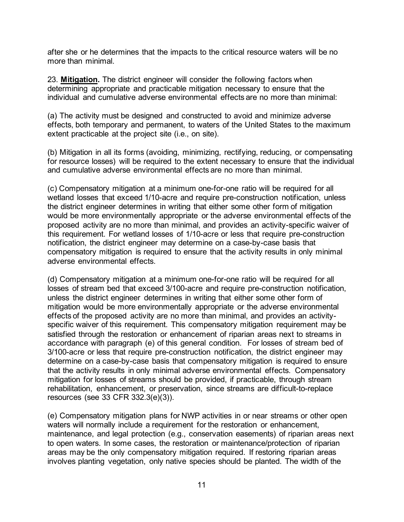after she or he determines that the impacts to the critical resource waters will be no more than minimal.

23. **Mitigation.** The district engineer will consider the following factors when determining appropriate and practicable mitigation necessary to ensure that the individual and cumulative adverse environmental effects are no more than minimal:

(a) The activity must be designed and constructed to avoid and minimize adverse effects, both temporary and permanent, to waters of the United States to the maximum extent practicable at the project site (i.e., on site).

(b) Mitigation in all its forms (avoiding, minimizing, rectifying, reducing, or compensating for resource losses) will be required to the extent necessary to ensure that the individual and cumulative adverse environmental effects are no more than minimal.

(c) Compensatory mitigation at a minimum one-for-one ratio will be required for all wetland losses that exceed 1/10-acre and require pre-construction notification, unless the district engineer determines in writing that either some other form of mitigation would be more environmentally appropriate or the adverse environmental effects of the proposed activity are no more than minimal, and provides an activity-specific waiver of this requirement. For wetland losses of 1/10-acre or less that require pre-construction notification, the district engineer may determine on a case-by-case basis that compensatory mitigation is required to ensure that the activity results in only minimal adverse environmental effects.

(d) Compensatory mitigation at a minimum one-for-one ratio will be required for all losses of stream bed that exceed 3/100-acre and require pre-construction notification, unless the district engineer determines in writing that either some other form of mitigation would be more environmentally appropriate or the adverse environmental effects of the proposed activity are no more than minimal, and provides an activityspecific waiver of this requirement. This compensatory mitigation requirement may be satisfied through the restoration or enhancement of riparian areas next to streams in accordance with paragraph (e) of this general condition. For losses of stream bed of 3/100-acre or less that require pre-construction notification, the district engineer may determine on a case-by-case basis that compensatory mitigation is required to ensure that the activity results in only minimal adverse environmental effects. Compensatory mitigation for losses of streams should be provided, if practicable, through stream rehabilitation, enhancement, or preservation, since streams are difficult-to-replace resources (see 33 CFR 332.3(e)(3)).

(e) Compensatory mitigation plans for NWP activities in or near streams or other open waters will normally include a requirement for the restoration or enhancement, maintenance, and legal protection (e.g., conservation easements) of riparian areas next to open waters. In some cases, the restoration or maintenance/protection of riparian areas may be the only compensatory mitigation required. If restoring riparian areas involves planting vegetation, only native species should be planted. The width of the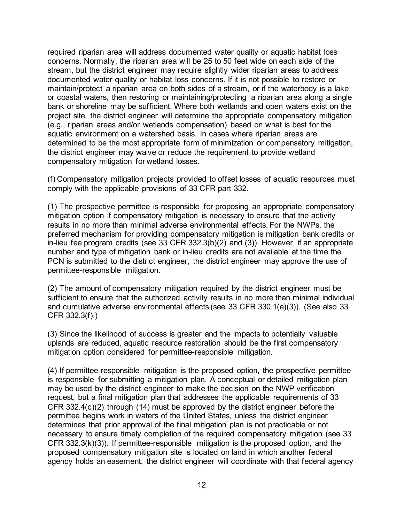required riparian area will address documented water quality or aquatic habitat loss concerns. Normally, the riparian area will be 25 to 50 feet wide on each side of the stream, but the district engineer may require slightly wider riparian areas to address documented water quality or habitat loss concerns. If it is not possible to restore or maintain/protect a riparian area on both sides of a stream, or if the waterbody is a lake or coastal waters, then restoring or maintaining/protecting a riparian area along a single bank or shoreline may be sufficient. Where both wetlands and open waters exist on the project site, the district engineer will determine the appropriate compensatory mitigation (e.g., riparian areas and/or wetlands compensation) based on what is best for the aquatic environment on a watershed basis. In cases where riparian areas are determined to be the most appropriate form of minimization or compensatory mitigation, the district engineer may waive or reduce the requirement to provide wetland compensatory mitigation for wetland losses.

(f) Compensatory mitigation projects provided to offset losses of aquatic resources must comply with the applicable provisions of 33 CFR part 332.

(1) The prospective permittee is responsible for proposing an appropriate compensatory mitigation option if compensatory mitigation is necessary to ensure that the activity results in no more than minimal adverse environmental effects. For the NWPs, the preferred mechanism for providing compensatory mitigation is mitigation bank credits or in-lieu fee program credits (see 33 CFR 332.3(b)(2) and (3)). However, if an appropriate number and type of mitigation bank or in-lieu credits are not available at the time the PCN is submitted to the district engineer, the district engineer may approve the use of permittee-responsible mitigation.

(2) The amount of compensatory mitigation required by the district engineer must be sufficient to ensure that the authorized activity results in no more than minimal individual and cumulative adverse environmental effects (see 33 CFR 330.1(e)(3)). (See also 33 CFR 332.3(f).)

(3) Since the likelihood of success is greater and the impacts to potentially valuable uplands are reduced, aquatic resource restoration should be the first compensatory mitigation option considered for permittee-responsible mitigation.

(4) If permittee-responsible mitigation is the proposed option, the prospective permittee is responsible for submitting a mitigation plan. A conceptual or detailed mitigation plan may be used by the district engineer to make the decision on the NWP verification request, but a final mitigation plan that addresses the applicable requirements of 33 CFR 332.4(c)(2) through (14) must be approved by the district engineer before the permittee begins work in waters of the United States, unless the district engineer determines that prior approval of the final mitigation plan is not practicable or not necessary to ensure timely completion of the required compensatory mitigation (see 33 CFR 332.3(k)(3)). If permittee-responsible mitigation is the proposed option, and the proposed compensatory mitigation site is located on land in which another federal agency holds an easement, the district engineer will coordinate with that federal agency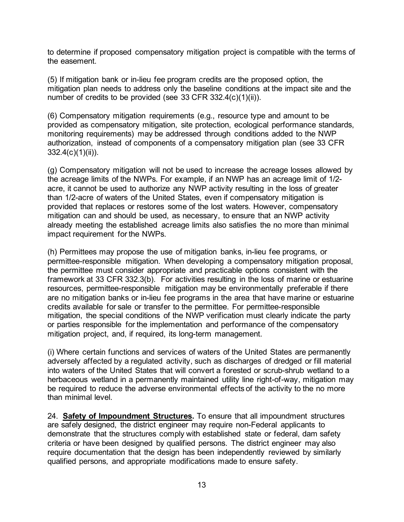to determine if proposed compensatory mitigation project is compatible with the terms of the easement.

(5) If mitigation bank or in-lieu fee program credits are the proposed option, the mitigation plan needs to address only the baseline conditions at the impact site and the number of credits to be provided (see 33 CFR 332.4(c)(1)(ii)).

(6) Compensatory mitigation requirements (e.g., resource type and amount to be provided as compensatory mitigation, site protection, ecological performance standards, monitoring requirements) may be addressed through conditions added to the NWP authorization, instead of components of a compensatory mitigation plan (see 33 CFR 332.4(c)(1)(ii)).

(g) Compensatory mitigation will not be used to increase the acreage losses allowed by the acreage limits of the NWPs. For example, if an NWP has an acreage limit of 1/2 acre, it cannot be used to authorize any NWP activity resulting in the loss of greater than 1/2-acre of waters of the United States, even if compensatory mitigation is provided that replaces or restores some of the lost waters. However, compensatory mitigation can and should be used, as necessary, to ensure that an NWP activity already meeting the established acreage limits also satisfies the no more than minimal impact requirement for the NWPs.

(h) Permittees may propose the use of mitigation banks, in-lieu fee programs, or permittee-responsible mitigation. When developing a compensatory mitigation proposal, the permittee must consider appropriate and practicable options consistent with the framework at 33 CFR 332.3(b). For activities resulting in the loss of marine or estuarine resources, permittee-responsible mitigation may be environmentally preferable if there are no mitigation banks or in-lieu fee programs in the area that have marine or estuarine credits available for sale or transfer to the permittee. For permittee-responsible mitigation, the special conditions of the NWP verification must clearly indicate the party or parties responsible for the implementation and performance of the compensatory mitigation project, and, if required, its long-term management.

(i) Where certain functions and services of waters of the United States are permanently adversely affected by a regulated activity, such as discharges of dredged or fill material into waters of the United States that will convert a forested or scrub-shrub wetland to a herbaceous wetland in a permanently maintained utility line right-of-way, mitigation may be required to reduce the adverse environmental effects of the activity to the no more than minimal level.

24. **Safety of Impoundment Structures.** To ensure that all impoundment structures are safely designed, the district engineer may require non-Federal applicants to demonstrate that the structures comply with established state or federal, dam safety criteria or have been designed by qualified persons. The district engineer may also require documentation that the design has been independently reviewed by similarly qualified persons, and appropriate modifications made to ensure safety.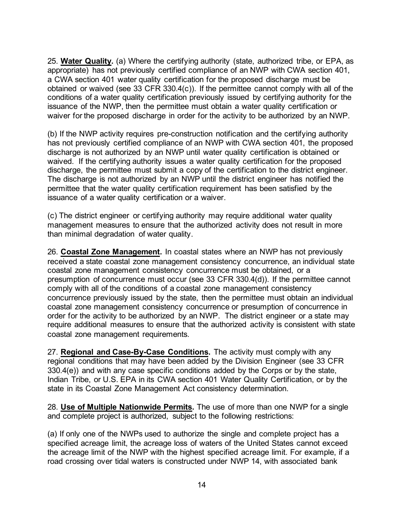25. **Water Quality.** (a) Where the certifying authority (state, authorized tribe, or EPA, as appropriate) has not previously certified compliance of an NWP with CWA section 401, a CWA section 401 water quality certification for the proposed discharge must be obtained or waived (see 33 CFR 330.4(c)). If the permittee cannot comply with all of the conditions of a water quality certification previously issued by certifying authority for the issuance of the NWP, then the permittee must obtain a water quality certification or waiver for the proposed discharge in order for the activity to be authorized by an NWP.

(b) If the NWP activity requires pre-construction notification and the certifying authority has not previously certified compliance of an NWP with CWA section 401, the proposed discharge is not authorized by an NWP until water quality certification is obtained or waived. If the certifying authority issues a water quality certification for the proposed discharge, the permittee must submit a copy of the certification to the district engineer. The discharge is not authorized by an NWP until the district engineer has notified the permittee that the water quality certification requirement has been satisfied by the issuance of a water quality certification or a waiver.

(c) The district engineer or certifying authority may require additional water quality management measures to ensure that the authorized activity does not result in more than minimal degradation of water quality.

26. **Coastal Zone Management.** In coastal states where an NWP has not previously received a state coastal zone management consistency concurrence, an individual state coastal zone management consistency concurrence must be obtained, or a presumption of concurrence must occur (see 33 CFR 330.4(d)). If the permittee cannot comply with all of the conditions of a coastal zone management consistency concurrence previously issued by the state, then the permittee must obtain an individual coastal zone management consistency concurrence or presumption of concurrence in order for the activity to be authorized by an NWP. The district engineer or a state may require additional measures to ensure that the authorized activity is consistent with state coastal zone management requirements.

27. **Regional and Case-By-Case Conditions.** The activity must comply with any regional conditions that may have been added by the Division Engineer (see 33 CFR 330.4(e)) and with any case specific conditions added by the Corps or by the state, Indian Tribe, or U.S. EPA in its CWA section 401 Water Quality Certification, or by the state in its Coastal Zone Management Act consistency determination.

28. **Use of Multiple Nationwide Permits.** The use of more than one NWP for a single and complete project is authorized, subject to the following restrictions:

(a) If only one of the NWPs used to authorize the single and complete project has a specified acreage limit, the acreage loss of waters of the United States cannot exceed the acreage limit of the NWP with the highest specified acreage limit. For example, if a road crossing over tidal waters is constructed under NWP 14, with associated bank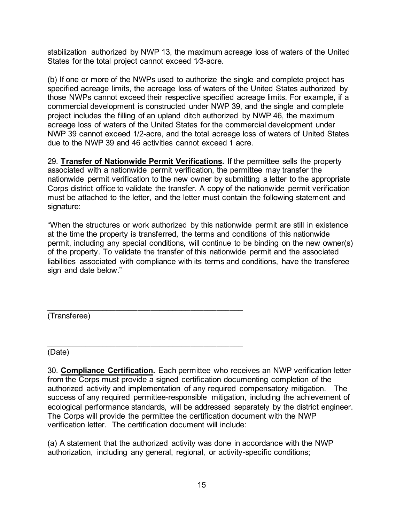stabilization authorized by NWP 13, the maximum acreage loss of waters of the United States for the total project cannot exceed 1/3-acre.

(b) If one or more of the NWPs used to authorize the single and complete project has specified acreage limits, the acreage loss of waters of the United States authorized by those NWPs cannot exceed their respective specified acreage limits. For example, if a commercial development is constructed under NWP 39, and the single and complete project includes the filling of an upland ditch authorized by NWP 46, the maximum acreage loss of waters of the United States for the commercial development under NWP 39 cannot exceed 1/2-acre, and the total acreage loss of waters of United States due to the NWP 39 and 46 activities cannot exceed 1 acre.

29. **Transfer of Nationwide Permit Verifications.** If the permittee sells the property associated with a nationwide permit verification, the permittee may transfer the nationwide permit verification to the new owner by submitting a letter to the appropriate Corps district office to validate the transfer. A copy of the nationwide permit verification must be attached to the letter, and the letter must contain the following statement and signature:

"When the structures or work authorized by this nationwide permit are still in existence at the time the property is transferred, the terms and conditions of this nationwide permit, including any special conditions, will continue to be binding on the new owner(s) of the property. To validate the transfer of this nationwide permit and the associated liabilities associated with compliance with its terms and conditions, have the transferee sign and date below."

\_\_\_\_\_\_\_\_\_\_\_\_\_\_\_\_\_\_\_\_\_\_\_\_\_\_\_\_\_\_\_\_\_\_\_\_\_\_\_\_\_\_\_\_\_ (Transferee)

\_\_\_\_\_\_\_\_\_\_\_\_\_\_\_\_\_\_\_\_\_\_\_\_\_\_\_\_\_\_\_\_\_\_\_\_\_\_\_\_\_\_\_\_\_ (Date)

30. **Compliance Certification.** Each permittee who receives an NWP verification letter from the Corps must provide a signed certification documenting completion of the authorized activity and implementation of any required compensatory mitigation. The success of any required permittee-responsible mitigation, including the achievement of ecological performance standards, will be addressed separately by the district engineer. The Corps will provide the permittee the certification document with the NWP verification letter. The certification document will include:

(a) A statement that the authorized activity was done in accordance with the NWP authorization, including any general, regional, or activity-specific conditions;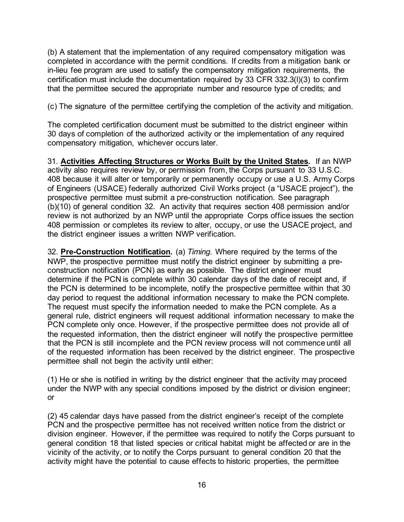(b) A statement that the implementation of any required compensatory mitigation was completed in accordance with the permit conditions. If credits from a mitigation bank or in-lieu fee program are used to satisfy the compensatory mitigation requirements, the certification must include the documentation required by 33 CFR 332.3(l)(3) to confirm that the permittee secured the appropriate number and resource type of credits; and

(c) The signature of the permittee certifying the completion of the activity and mitigation.

The completed certification document must be submitted to the district engineer within 30 days of completion of the authorized activity or the implementation of any required compensatory mitigation, whichever occurs later.

31. **Activities Affecting Structures or Works Built by the United States.** If an NWP activity also requires review by, or permission from, the Corps pursuant to 33 U.S.C. 408 because it will alter or temporarily or permanently occupy or use a U.S. Army Corps of Engineers (USACE) federally authorized Civil Works project (a "USACE project"), the prospective permittee must submit a pre-construction notification. See paragraph (b)(10) of general condition 32. An activity that requires section 408 permission and/or review is not authorized by an NWP until the appropriate Corps office issues the section 408 permission or completes its review to alter, occupy, or use the USACE project, and the district engineer issues a written NWP verification.

32. **Pre-Construction Notification.** (a) *Timing*. Where required by the terms of the NWP, the prospective permittee must notify the district engineer by submitting a preconstruction notification (PCN) as early as possible. The district engineer must determine if the PCN is complete within 30 calendar days of the date of receipt and, if the PCN is determined to be incomplete, notify the prospective permittee within that 30 day period to request the additional information necessary to make the PCN complete. The request must specify the information needed to make the PCN complete. As a general rule, district engineers will request additional information necessary to make the PCN complete only once. However, if the prospective permittee does not provide all of the requested information, then the district engineer will notify the prospective permittee that the PCN is still incomplete and the PCN review process will not commence until all of the requested information has been received by the district engineer. The prospective permittee shall not begin the activity until either:

(1) He or she is notified in writing by the district engineer that the activity may proceed under the NWP with any special conditions imposed by the district or division engineer; or

(2) 45 calendar days have passed from the district engineer's receipt of the complete PCN and the prospective permittee has not received written notice from the district or division engineer. However, if the permittee was required to notify the Corps pursuant to general condition 18 that listed species or critical habitat might be affected or are in the vicinity of the activity, or to notify the Corps pursuant to general condition 20 that the activity might have the potential to cause effects to historic properties, the permittee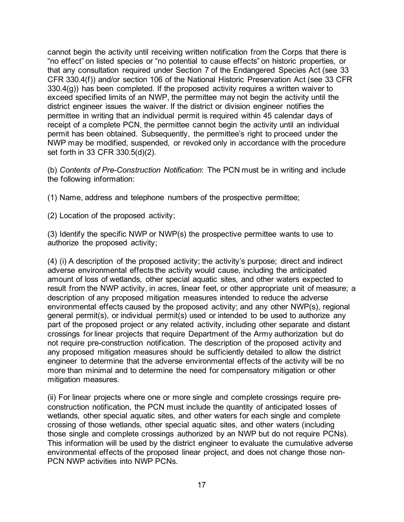cannot begin the activity until receiving written notification from the Corps that there is "no effect" on listed species or "no potential to cause effects" on historic properties, or that any consultation required under Section 7 of the Endangered Species Act (see 33 CFR 330.4(f)) and/or section 106 of the National Historic Preservation Act (see 33 CFR 330.4(g)) has been completed. If the proposed activity requires a written waiver to exceed specified limits of an NWP, the permittee may not begin the activity until the district engineer issues the waiver. If the district or division engineer notifies the permittee in writing that an individual permit is required within 45 calendar days of receipt of a complete PCN, the permittee cannot begin the activity until an individual permit has been obtained. Subsequently, the permittee's right to proceed under the NWP may be modified, suspended, or revoked only in accordance with the procedure set forth in 33 CFR 330.5(d)(2).

(b) *Contents of Pre-Construction Notification*: The PCN must be in writing and include the following information:

(1) Name, address and telephone numbers of the prospective permittee;

(2) Location of the proposed activity;

(3) Identify the specific NWP or NWP(s) the prospective permittee wants to use to authorize the proposed activity;

(4) (i) A description of the proposed activity; the activity's purpose; direct and indirect adverse environmental effects the activity would cause, including the anticipated amount of loss of wetlands, other special aquatic sites, and other waters expected to result from the NWP activity, in acres, linear feet, or other appropriate unit of measure; a description of any proposed mitigation measures intended to reduce the adverse environmental effects caused by the proposed activity; and any other NWP(s), regional general permit(s), or individual permit(s) used or intended to be used to authorize any part of the proposed project or any related activity, including other separate and distant crossings for linear projects that require Department of the Army authorization but do not require pre-construction notification. The description of the proposed activity and any proposed mitigation measures should be sufficiently detailed to allow the district engineer to determine that the adverse environmental effects of the activity will be no more than minimal and to determine the need for compensatory mitigation or other mitigation measures.

(ii) For linear projects where one or more single and complete crossings require preconstruction notification, the PCN must include the quantity of anticipated losses of wetlands, other special aquatic sites, and other waters for each single and complete crossing of those wetlands, other special aquatic sites, and other waters (including those single and complete crossings authorized by an NWP but do not require PCNs). This information will be used by the district engineer to evaluate the cumulative adverse environmental effects of the proposed linear project, and does not change those non-PCN NWP activities into NWP PCNs.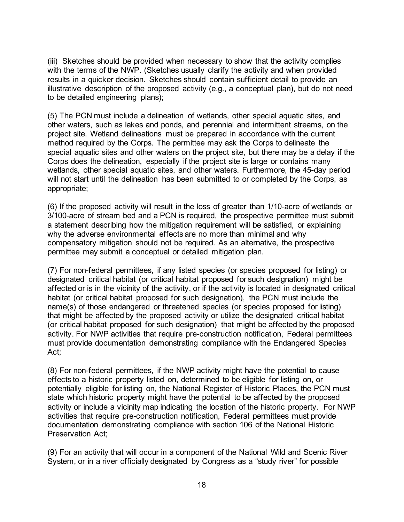(iii) Sketches should be provided when necessary to show that the activity complies with the terms of the NWP. (Sketches usually clarify the activity and when provided results in a quicker decision. Sketches should contain sufficient detail to provide an illustrative description of the proposed activity (e.g., a conceptual plan), but do not need to be detailed engineering plans);

(5) The PCN must include a delineation of wetlands, other special aquatic sites, and other waters, such as lakes and ponds, and perennial and intermittent streams, on the project site. Wetland delineations must be prepared in accordance with the current method required by the Corps. The permittee may ask the Corps to delineate the special aquatic sites and other waters on the project site, but there may be a delay if the Corps does the delineation, especially if the project site is large or contains many wetlands, other special aquatic sites, and other waters. Furthermore, the 45-day period will not start until the delineation has been submitted to or completed by the Corps, as appropriate;

(6) If the proposed activity will result in the loss of greater than 1/10-acre of wetlands or 3/100-acre of stream bed and a PCN is required, the prospective permittee must submit a statement describing how the mitigation requirement will be satisfied, or explaining why the adverse environmental effects are no more than minimal and why compensatory mitigation should not be required. As an alternative, the prospective permittee may submit a conceptual or detailed mitigation plan.

(7) For non-federal permittees, if any listed species (or species proposed for listing) or designated critical habitat (or critical habitat proposed for such designation) might be affected or is in the vicinity of the activity, or if the activity is located in designated critical habitat (or critical habitat proposed for such designation), the PCN must include the name(s) of those endangered or threatened species (or species proposed for listing) that might be affected by the proposed activity or utilize the designated critical habitat (or critical habitat proposed for such designation) that might be affected by the proposed activity. For NWP activities that require pre-construction notification, Federal permittees must provide documentation demonstrating compliance with the Endangered Species Act;

(8) For non-federal permittees, if the NWP activity might have the potential to cause effects to a historic property listed on, determined to be eligible for listing on, or potentially eligible for listing on, the National Register of Historic Places, the PCN must state which historic property might have the potential to be affected by the proposed activity or include a vicinity map indicating the location of the historic property. For NWP activities that require pre-construction notification, Federal permittees must provide documentation demonstrating compliance with section 106 of the National Historic Preservation Act;

(9) For an activity that will occur in a component of the National Wild and Scenic River System, or in a river officially designated by Congress as a "study river" for possible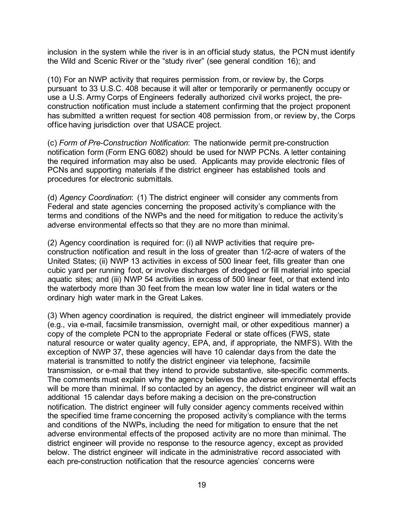inclusion in the system while the river is in an official study status, the PCN must identify the Wild and Scenic River or the "study river" (see general condition 16); and

(10) For an NWP activity that requires permission from, or review by, the Corps pursuant to 33 U.S.C. 408 because it will alter or temporarily or permanently occupy or use a U.S. Army Corps of Engineers federally authorized civil works project, the preconstruction notification must include a statement confirming that the project proponent has submitted a written request for section 408 permission from, or review by, the Corps office having jurisdiction over that USACE project.

(c) *Form of Pre-Construction Notification*: The nationwide permit pre-construction notification form (Form ENG 6082) should be used for NWP PCNs. A letter containing the required information may also be used. Applicants may provide electronic files of PCNs and supporting materials if the district engineer has established tools and procedures for electronic submittals.

(d) *Agency Coordination*: (1) The district engineer will consider any comments from Federal and state agencies concerning the proposed activity's compliance with the terms and conditions of the NWPs and the need for mitigation to reduce the activity's adverse environmental effects so that they are no more than minimal.

(2) Agency coordination is required for: (i) all NWP activities that require preconstruction notification and result in the loss of greater than 1/2-acre of waters of the United States; (ii) NWP 13 activities in excess of 500 linear feet, fills greater than one cubic yard per running foot, or involve discharges of dredged or fill material into special aquatic sites; and (iii) NWP 54 activities in excess of 500 linear feet, or that extend into the waterbody more than 30 feet from the mean low water line in tidal waters or the ordinary high water mark in the Great Lakes.

(3) When agency coordination is required, the district engineer will immediately provide (e.g., via e-mail, facsimile transmission, overnight mail, or other expeditious manner) a copy of the complete PCN to the appropriate Federal or state offices (FWS, state natural resource or water quality agency, EPA, and, if appropriate, the NMFS). With the exception of NWP 37, these agencies will have 10 calendar days from the date the material is transmitted to notify the district engineer via telephone, facsimile transmission, or e-mail that they intend to provide substantive, site-specific comments. The comments must explain why the agency believes the adverse environmental effects will be more than minimal. If so contacted by an agency, the district engineer will wait an additional 15 calendar days before making a decision on the pre-construction notification. The district engineer will fully consider agency comments received within the specified time frame concerning the proposed activity's compliance with the terms and conditions of the NWPs, including the need for mitigation to ensure that the net adverse environmental effects of the proposed activity are no more than minimal. The district engineer will provide no response to the resource agency, except as provided below. The district engineer will indicate in the administrative record associated with each pre-construction notification that the resource agencies' concerns were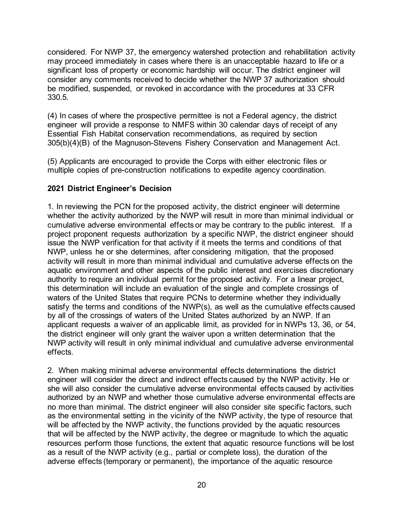considered. For NWP 37, the emergency watershed protection and rehabilitation activity may proceed immediately in cases where there is an unacceptable hazard to life or a significant loss of property or economic hardship will occur. The district engineer will consider any comments received to decide whether the NWP 37 authorization should be modified, suspended, or revoked in accordance with the procedures at 33 CFR 330.5.

(4) In cases of where the prospective permittee is not a Federal agency, the district engineer will provide a response to NMFS within 30 calendar days of receipt of any Essential Fish Habitat conservation recommendations, as required by section 305(b)(4)(B) of the Magnuson-Stevens Fishery Conservation and Management Act.

(5) Applicants are encouraged to provide the Corps with either electronic files or multiple copies of pre-construction notifications to expedite agency coordination.

# **2021 District Engineer's Decision**

1. In reviewing the PCN for the proposed activity, the district engineer will determine whether the activity authorized by the NWP will result in more than minimal individual or cumulative adverse environmental effects or may be contrary to the public interest. If a project proponent requests authorization by a specific NWP, the district engineer should issue the NWP verification for that activity if it meets the terms and conditions of that NWP, unless he or she determines, after considering mitigation, that the proposed activity will result in more than minimal individual and cumulative adverse effects on the aquatic environment and other aspects of the public interest and exercises discretionary authority to require an individual permit for the proposed activity. For a linear project, this determination will include an evaluation of the single and complete crossings of waters of the United States that require PCNs to determine whether they individually satisfy the terms and conditions of the NWP(s), as well as the cumulative effects caused by all of the crossings of waters of the United States authorized by an NWP. If an applicant requests a waiver of an applicable limit, as provided for in NWPs 13, 36, or 54, the district engineer will only grant the waiver upon a written determination that the NWP activity will result in only minimal individual and cumulative adverse environmental effects.

2. When making minimal adverse environmental effects determinations the district engineer will consider the direct and indirect effects caused by the NWP activity. He or she will also consider the cumulative adverse environmental effects caused by activities authorized by an NWP and whether those cumulative adverse environmental effects are no more than minimal. The district engineer will also consider site specific factors, such as the environmental setting in the vicinity of the NWP activity, the type of resource that will be affected by the NWP activity, the functions provided by the aquatic resources that will be affected by the NWP activity, the degree or magnitude to which the aquatic resources perform those functions, the extent that aquatic resource functions will be lost as a result of the NWP activity (e.g., partial or complete loss), the duration of the adverse effects (temporary or permanent), the importance of the aquatic resource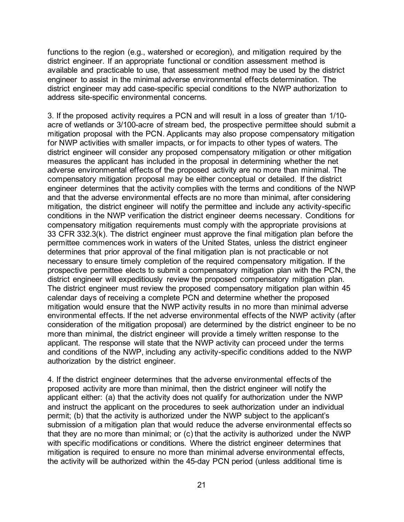functions to the region (e.g., watershed or ecoregion), and mitigation required by the district engineer. If an appropriate functional or condition assessment method is available and practicable to use, that assessment method may be used by the district engineer to assist in the minimal adverse environmental effects determination. The district engineer may add case-specific special conditions to the NWP authorization to address site-specific environmental concerns.

3. If the proposed activity requires a PCN and will result in a loss of greater than 1/10 acre of wetlands or 3/100-acre of stream bed, the prospective permittee should submit a mitigation proposal with the PCN. Applicants may also propose compensatory mitigation for NWP activities with smaller impacts, or for impacts to other types of waters. The district engineer will consider any proposed compensatory mitigation or other mitigation measures the applicant has included in the proposal in determining whether the net adverse environmental effects of the proposed activity are no more than minimal. The compensatory mitigation proposal may be either conceptual or detailed. If the district engineer determines that the activity complies with the terms and conditions of the NWP and that the adverse environmental effects are no more than minimal, after considering mitigation, the district engineer will notify the permittee and include any activity-specific conditions in the NWP verification the district engineer deems necessary. Conditions for compensatory mitigation requirements must comply with the appropriate provisions at 33 CFR 332.3(k). The district engineer must approve the final mitigation plan before the permittee commences work in waters of the United States, unless the district engineer determines that prior approval of the final mitigation plan is not practicable or not necessary to ensure timely completion of the required compensatory mitigation. If the prospective permittee elects to submit a compensatory mitigation plan with the PCN, the district engineer will expeditiously review the proposed compensatory mitigation plan. The district engineer must review the proposed compensatory mitigation plan within 45 calendar days of receiving a complete PCN and determine whether the proposed mitigation would ensure that the NWP activity results in no more than minimal adverse environmental effects. If the net adverse environmental effects of the NWP activity (after consideration of the mitigation proposal) are determined by the district engineer to be no more than minimal, the district engineer will provide a timely written response to the applicant. The response will state that the NWP activity can proceed under the terms and conditions of the NWP, including any activity-specific conditions added to the NWP authorization by the district engineer.

4. If the district engineer determines that the adverse environmental effects of the proposed activity are more than minimal, then the district engineer will notify the applicant either: (a) that the activity does not qualify for authorization under the NWP and instruct the applicant on the procedures to seek authorization under an individual permit; (b) that the activity is authorized under the NWP subject to the applicant's submission of a mitigation plan that would reduce the adverse environmental effects so that they are no more than minimal; or (c) that the activity is authorized under the NWP with specific modifications or conditions. Where the district engineer determines that mitigation is required to ensure no more than minimal adverse environmental effects, the activity will be authorized within the 45-day PCN period (unless additional time is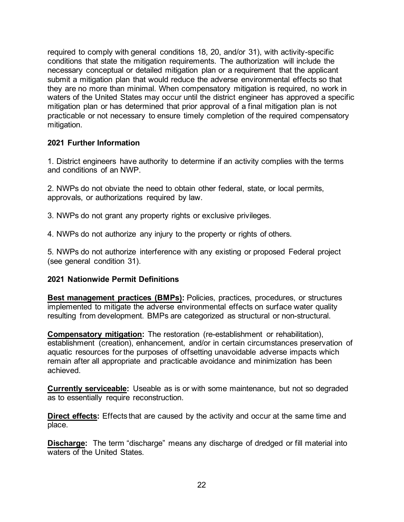required to comply with general conditions 18, 20, and/or 31), with activity-specific conditions that state the mitigation requirements. The authorization will include the necessary conceptual or detailed mitigation plan or a requirement that the applicant submit a mitigation plan that would reduce the adverse environmental effects so that they are no more than minimal. When compensatory mitigation is required, no work in waters of the United States may occur until the district engineer has approved a specific mitigation plan or has determined that prior approval of a final mitigation plan is not practicable or not necessary to ensure timely completion of the required compensatory mitigation.

## **2021 Further Information**

1. District engineers have authority to determine if an activity complies with the terms and conditions of an NWP.

2. NWPs do not obviate the need to obtain other federal, state, or local permits, approvals, or authorizations required by law.

- 3. NWPs do not grant any property rights or exclusive privileges.
- 4. NWPs do not authorize any injury to the property or rights of others.

5. NWPs do not authorize interference with any existing or proposed Federal project (see general condition 31).

### **2021 Nationwide Permit Definitions**

**Best management practices (BMPs):** Policies, practices, procedures, or structures implemented to mitigate the adverse environmental effects on surface water quality resulting from development. BMPs are categorized as structural or non-structural.

**Compensatory mitigation:** The restoration (re-establishment or rehabilitation), establishment (creation), enhancement, and/or in certain circumstances preservation of aquatic resources for the purposes of offsetting unavoidable adverse impacts which remain after all appropriate and practicable avoidance and minimization has been achieved.

**Currently serviceable:** Useable as is or with some maintenance, but not so degraded as to essentially require reconstruction.

**Direct effects:** Effects that are caused by the activity and occur at the same time and place.

**Discharge:** The term "discharge" means any discharge of dredged or fill material into waters of the United States.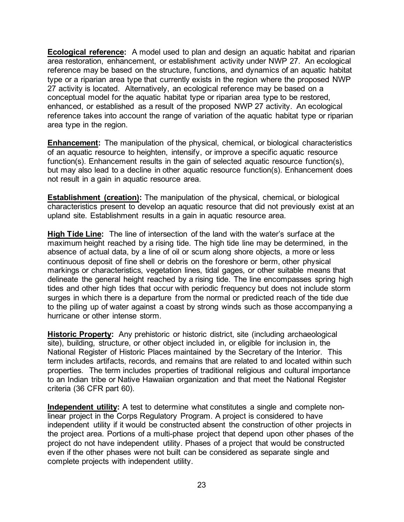**Ecological reference:** A model used to plan and design an aquatic habitat and riparian area restoration, enhancement, or establishment activity under NWP 27. An ecological reference may be based on the structure, functions, and dynamics of an aquatic habitat type or a riparian area type that currently exists in the region where the proposed NWP 27 activity is located. Alternatively, an ecological reference may be based on a conceptual model for the aquatic habitat type or riparian area type to be restored, enhanced, or established as a result of the proposed NWP 27 activity. An ecological reference takes into account the range of variation of the aquatic habitat type or riparian area type in the region.

**Enhancement:** The manipulation of the physical, chemical, or biological characteristics of an aquatic resource to heighten, intensify, or improve a specific aquatic resource function(s). Enhancement results in the gain of selected aquatic resource function(s), but may also lead to a decline in other aquatic resource function(s). Enhancement does not result in a gain in aquatic resource area.

**Establishment (creation):** The manipulation of the physical, chemical, or biological characteristics present to develop an aquatic resource that did not previously exist at an upland site. Establishment results in a gain in aquatic resource area.

**High Tide Line:** The line of intersection of the land with the water's surface at the maximum height reached by a rising tide. The high tide line may be determined, in the absence of actual data, by a line of oil or scum along shore objects, a more or less continuous deposit of fine shell or debris on the foreshore or berm, other physical markings or characteristics, vegetation lines, tidal gages, or other suitable means that delineate the general height reached by a rising tide. The line encompasses spring high tides and other high tides that occur with periodic frequency but does not include storm surges in which there is a departure from the normal or predicted reach of the tide due to the piling up of water against a coast by strong winds such as those accompanying a hurricane or other intense storm.

**Historic Property:** Any prehistoric or historic district, site (including archaeological site), building, structure, or other object included in, or eligible for inclusion in, the National Register of Historic Places maintained by the Secretary of the Interior. This term includes artifacts, records, and remains that are related to and located within such properties. The term includes properties of traditional religious and cultural importance to an Indian tribe or Native Hawaiian organization and that meet the National Register criteria (36 CFR part 60).

**Independent utility:** A test to determine what constitutes a single and complete nonlinear project in the Corps Regulatory Program. A project is considered to have independent utility if it would be constructed absent the construction of other projects in the project area. Portions of a multi-phase project that depend upon other phases of the project do not have independent utility. Phases of a project that would be constructed even if the other phases were not built can be considered as separate single and complete projects with independent utility.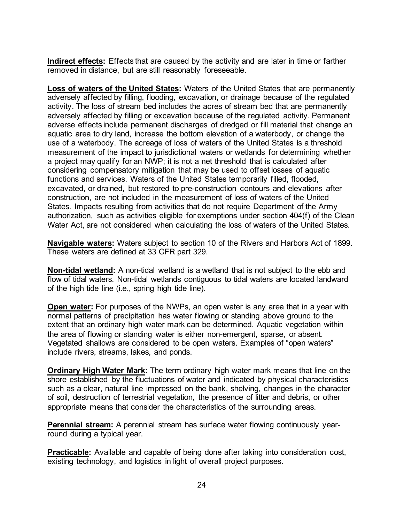**Indirect effects:** Effects that are caused by the activity and are later in time or farther removed in distance, but are still reasonably foreseeable.

**Loss of waters of the United States:** Waters of the United States that are permanently adversely affected by filling, flooding, excavation, or drainage because of the regulated activity. The loss of stream bed includes the acres of stream bed that are permanently adversely affected by filling or excavation because of the regulated activity. Permanent adverse effects include permanent discharges of dredged or fill material that change an aquatic area to dry land, increase the bottom elevation of a waterbody, or change the use of a waterbody. The acreage of loss of waters of the United States is a threshold measurement of the impact to jurisdictional waters or wetlands for determining whether a project may qualify for an NWP; it is not a net threshold that is calculated after considering compensatory mitigation that may be used to offset losses of aquatic functions and services. Waters of the United States temporarily filled, flooded, excavated, or drained, but restored to pre-construction contours and elevations after construction, are not included in the measurement of loss of waters of the United States. Impacts resulting from activities that do not require Department of the Army authorization, such as activities eligible for exemptions under section 404(f) of the Clean Water Act, are not considered when calculating the loss of waters of the United States.

**Navigable waters:** Waters subject to section 10 of the Rivers and Harbors Act of 1899. These waters are defined at 33 CFR part 329.

**Non-tidal wetland:** A non-tidal wetland is a wetland that is not subject to the ebb and flow of tidal waters. Non-tidal wetlands contiguous to tidal waters are located landward of the high tide line (i.e., spring high tide line).

**Open water:** For purposes of the NWPs, an open water is any area that in a year with normal patterns of precipitation has water flowing or standing above ground to the extent that an ordinary high water mark can be determined. Aquatic vegetation within the area of flowing or standing water is either non-emergent, sparse, or absent. Vegetated shallows are considered to be open waters. Examples of "open waters" include rivers, streams, lakes, and ponds.

**Ordinary High Water Mark:** The term ordinary high water mark means that line on the shore established by the fluctuations of water and indicated by physical characteristics such as a clear, natural line impressed on the bank, shelving, changes in the character of soil, destruction of terrestrial vegetation, the presence of litter and debris, or other appropriate means that consider the characteristics of the surrounding areas.

**Perennial stream:** A perennial stream has surface water flowing continuously yearround during a typical year.

**Practicable:** Available and capable of being done after taking into consideration cost, existing technology, and logistics in light of overall project purposes.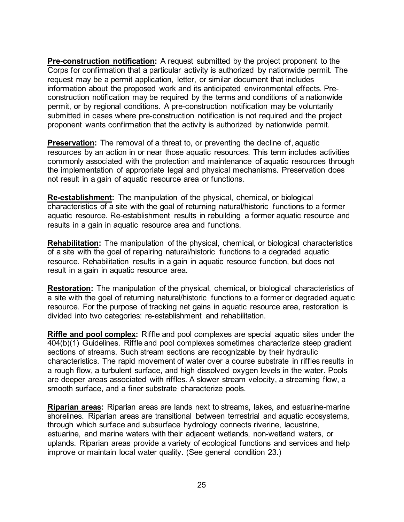**Pre-construction notification:** A request submitted by the project proponent to the Corps for confirmation that a particular activity is authorized by nationwide permit. The request may be a permit application, letter, or similar document that includes information about the proposed work and its anticipated environmental effects. Preconstruction notification may be required by the terms and conditions of a nationwide permit, or by regional conditions. A pre-construction notification may be voluntarily submitted in cases where pre-construction notification is not required and the project proponent wants confirmation that the activity is authorized by nationwide permit.

**Preservation:** The removal of a threat to, or preventing the decline of, aquatic resources by an action in or near those aquatic resources. This term includes activities commonly associated with the protection and maintenance of aquatic resources through the implementation of appropriate legal and physical mechanisms. Preservation does not result in a gain of aquatic resource area or functions.

**Re-establishment:** The manipulation of the physical, chemical, or biological characteristics of a site with the goal of returning natural/historic functions to a former aquatic resource. Re-establishment results in rebuilding a former aquatic resource and results in a gain in aquatic resource area and functions.

**Rehabilitation:** The manipulation of the physical, chemical, or biological characteristics of a site with the goal of repairing natural/historic functions to a degraded aquatic resource. Rehabilitation results in a gain in aquatic resource function, but does not result in a gain in aquatic resource area.

**Restoration:** The manipulation of the physical, chemical, or biological characteristics of a site with the goal of returning natural/historic functions to a former or degraded aquatic resource. For the purpose of tracking net gains in aquatic resource area, restoration is divided into two categories: re-establishment and rehabilitation.

**Riffle and pool complex:** Riffle and pool complexes are special aquatic sites under the 404(b)(1) Guidelines. Riffle and pool complexes sometimes characterize steep gradient sections of streams. Such stream sections are recognizable by their hydraulic characteristics. The rapid movement of water over a course substrate in riffles results in a rough flow, a turbulent surface, and high dissolved oxygen levels in the water. Pools are deeper areas associated with riffles. A slower stream velocity, a streaming flow, a smooth surface, and a finer substrate characterize pools.

**Riparian areas:** Riparian areas are lands next to streams, lakes, and estuarine-marine shorelines. Riparian areas are transitional between terrestrial and aquatic ecosystems, through which surface and subsurface hydrology connects riverine, lacustrine, estuarine, and marine waters with their adjacent wetlands, non-wetland waters, or uplands. Riparian areas provide a variety of ecological functions and services and help improve or maintain local water quality. (See general condition 23.)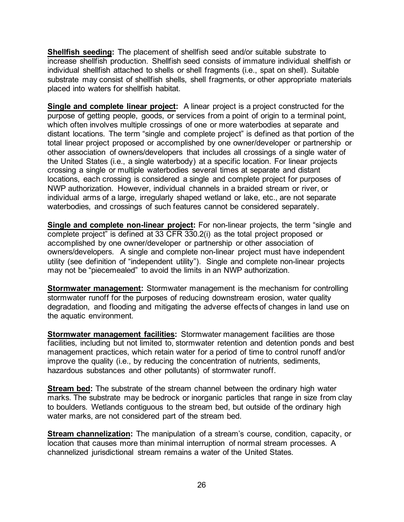**Shellfish seeding:** The placement of shellfish seed and/or suitable substrate to increase shellfish production. Shellfish seed consists of immature individual shellfish or individual shellfish attached to shells or shell fragments (i.e., spat on shell). Suitable substrate may consist of shellfish shells, shell fragments, or other appropriate materials placed into waters for shellfish habitat.

**Single and complete linear project:** A linear project is a project constructed for the purpose of getting people, goods, or services from a point of origin to a terminal point, which often involves multiple crossings of one or more waterbodies at separate and distant locations. The term "single and complete project" is defined as that portion of the total linear project proposed or accomplished by one owner/developer or partnership or other association of owners/developers that includes all crossings of a single water of the United States (i.e., a single waterbody) at a specific location. For linear projects crossing a single or multiple waterbodies several times at separate and distant locations, each crossing is considered a single and complete project for purposes of NWP authorization. However, individual channels in a braided stream or river, or individual arms of a large, irregularly shaped wetland or lake, etc., are not separate waterbodies, and crossings of such features cannot be considered separately.

**Single and complete non-linear project:** For non-linear projects, the term "single and complete project" is defined at 33 CFR 330.2(i) as the total project proposed or accomplished by one owner/developer or partnership or other association of owners/developers. A single and complete non-linear project must have independent utility (see definition of "independent utility"). Single and complete non-linear projects may not be "piecemealed" to avoid the limits in an NWP authorization.

**Stormwater management:** Stormwater management is the mechanism for controlling stormwater runoff for the purposes of reducing downstream erosion, water quality degradation, and flooding and mitigating the adverse effects of changes in land use on the aquatic environment.

**Stormwater management facilities:** Stormwater management facilities are those facilities, including but not limited to, stormwater retention and detention ponds and best management practices, which retain water for a period of time to control runoff and/or improve the quality (i.e., by reducing the concentration of nutrients, sediments, hazardous substances and other pollutants) of stormwater runoff.

**Stream bed:** The substrate of the stream channel between the ordinary high water marks. The substrate may be bedrock or inorganic particles that range in size from clay to boulders. Wetlands contiguous to the stream bed, but outside of the ordinary high water marks, are not considered part of the stream bed.

**Stream channelization:** The manipulation of a stream's course, condition, capacity, or location that causes more than minimal interruption of normal stream processes. A channelized jurisdictional stream remains a water of the United States.